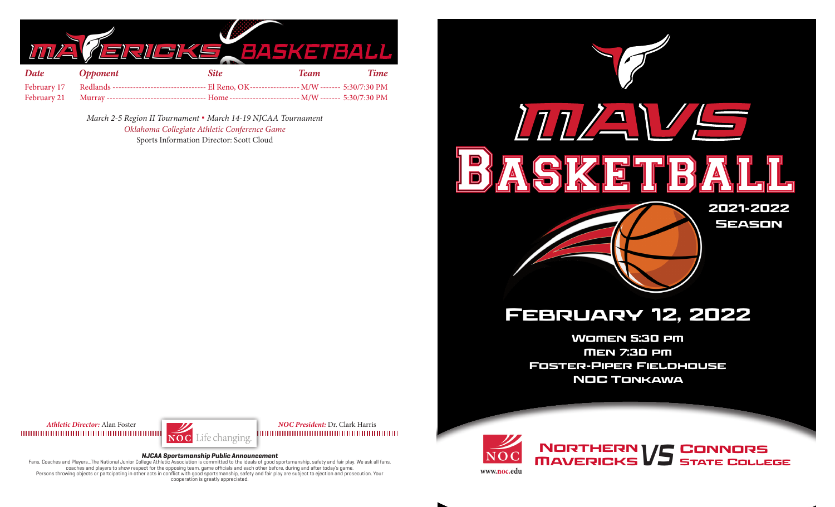

| <b>Date</b> | <b>Opponent</b> | <b>Site</b> | <b>Team</b> | Time |
|-------------|-----------------|-------------|-------------|------|
|             |                 |             |             |      |
|             |                 |             |             |      |

*March 2-5 Region II Tournament* **.** *March 14-19 NJCAA Tournament Oklahoma Collegiate Athletic Conference Game* Sports Information Director: Scott Cloud



Women 5:30 pm Men 7:30 pm Foster-Piper Fieldhouse NOC Tonkawa



*Athletic Director:* Alan Foster *NOC President:* Dr. Clark Harris 1000000000000000000000000000000000000

#### **NJCAA Sportsmanship Public Announcement**

Fans, Coaches and Players...The National Junior College Athletic Association is committed to the ideals of good sportsmanship, safety and fair play. We ask all fans, coaches and players to show respect for the opposing team, game officials and each other before, during and after today's game. Persons throwing objects or partcipating in other acts in conflict with good sportsmanship, safety and fair play are subject to ejection and prosecution. Your cooperation is greatly appreciated.



NORTHERN VS **Connors STATE COLLEGE** 

**www.noc.edu**